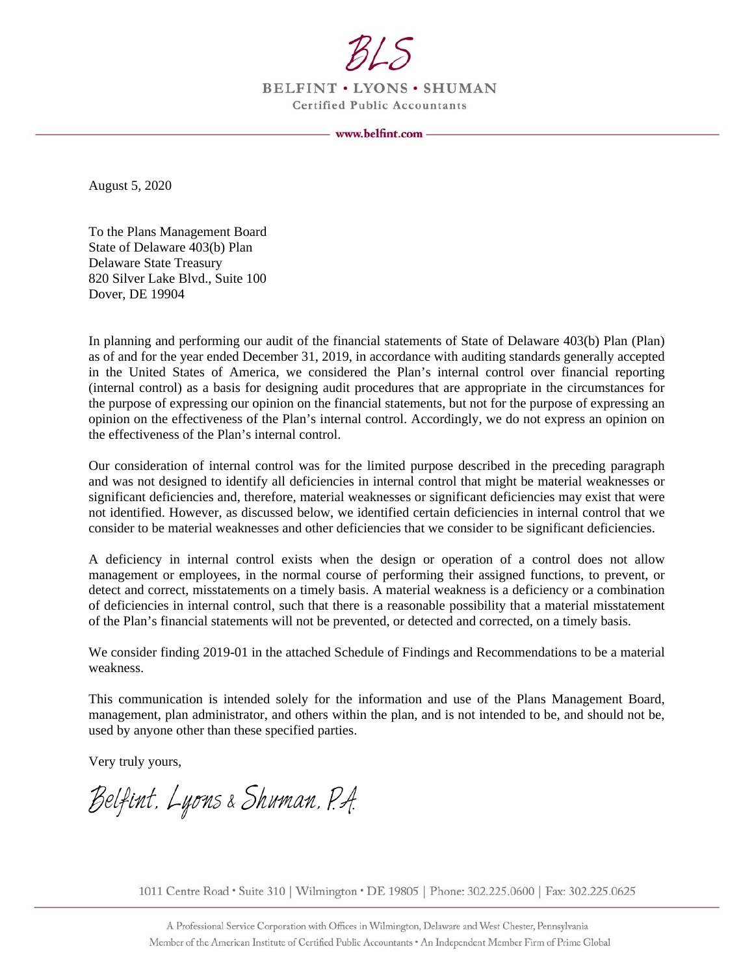

**BELFINT . LYONS . SHUMAN Certified Public Accountants** 

August 5, 2020

To the Plans Management Board State of Delaware 403(b) Plan Delaware State Treasury 820 Silver Lake Blvd., Suite 100 Dover, DE 19904

In planning and performing our audit of the financial statements of State of Delaware 403(b) Plan (Plan) as of and for the year ended December 31, 2019, in accordance with auditing standards generally accepted in the United States of America, we considered the Plan's internal control over financial reporting (internal control) as a basis for designing audit procedures that are appropriate in the circumstances for the purpose of expressing our opinion on the financial statements, but not for the purpose of expressing an opinion on the effectiveness of the Plan's internal control. Accordingly, we do not express an opinion on the effectiveness of the Plan's internal control.

Our consideration of internal control was for the limited purpose described in the preceding paragraph and was not designed to identify all deficiencies in internal control that might be material weaknesses or significant deficiencies and, therefore, material weaknesses or significant deficiencies may exist that were not identified. However, as discussed below, we identified certain deficiencies in internal control that we consider to be material weaknesses and other deficiencies that we consider to be significant deficiencies.

A deficiency in internal control exists when the design or operation of a control does not allow management or employees, in the normal course of performing their assigned functions, to prevent, or detect and correct, misstatements on a timely basis. A material weakness is a deficiency or a combination of deficiencies in internal control, such that there is a reasonable possibility that a material misstatement of the Plan's financial statements will not be prevented, or detected and corrected, on a timely basis.

We consider finding 2019-01 in the attached Schedule of Findings and Recommendations to be a material weakness.

This communication is intended solely for the information and use of the Plans Management Board, management, plan administrator, and others within the plan, and is not intended to be, and should not be, used by anyone other than these specified parties.

Very truly yours,

Belfint, Lyons & Shuman, P.A.

1011 Centre Road • Suite 310 | Wilmington • DE 19805 | Phone: 302.225.0600 | Fax: 302.225.0625